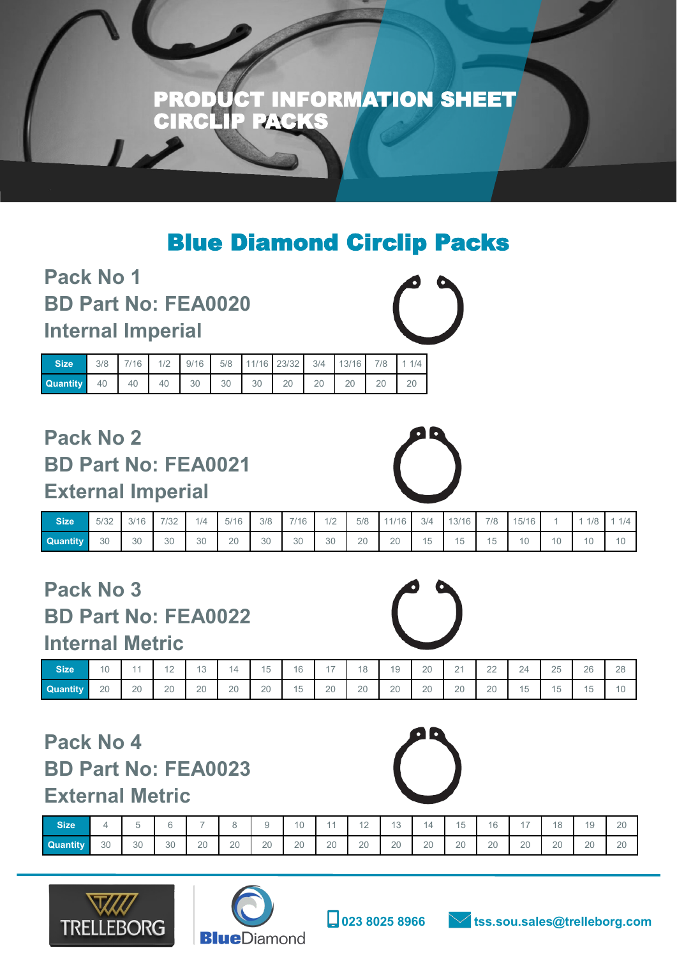

## Blue Diamond Circlip Packs

**Pack No 1 BD Part No: FEA0020 Internal Imperial**

| <b>Size</b>     |  |  |  | 3/8 7/16 1/2 9/16 5/8 11/16 23/32 3/4 13/16 7/8 1 1/4 |  |    |    |
|-----------------|--|--|--|-------------------------------------------------------|--|----|----|
| <b>Quantity</b> |  |  |  | 40 40 40 30 30 30 20 20 20                            |  | 20 | 20 |

## **Pack No 2 BD Part No: FEA0021 External Imperial**

| <b>Size</b>     | 5/32 | 3/16<br>JI.<br>U | 7100<br>73Z | 1/4 | 5/16 | 3/8 | 7/16 | 1/2 | 5/8 | 1/1C | 3/4     | 12/16<br>$\mathcal{O}/$ | 7/8           | 15/16 |    | 1/8                 | 1/4                                |
|-----------------|------|------------------|-------------|-----|------|-----|------|-----|-----|------|---------|-------------------------|---------------|-------|----|---------------------|------------------------------------|
| <b>Quantity</b> | 30   | 30               | 30          | 30  | 20   | 30  | 30   | 30  | 20  | 20   | 15<br>◡ | 15                      | AT<br>ъ.<br>◡ | 10    | 10 | $\overline{a}$<br>ັ | $\overline{A}$ $\overline{C}$<br>◡ |

### **Pack No 3 BD Part No: FEA0022 Internal Metric**

| ------------------ |    |                |                  |           |    |    |    |       |    |    |              |                       |                     |                   |    |           |    |
|--------------------|----|----------------|------------------|-----------|----|----|----|-------|----|----|--------------|-----------------------|---------------------|-------------------|----|-----------|----|
| <b>Size</b>        | 10 | $\overline{A}$ | $\Lambda$ $\cap$ | 10<br>. U | 14 | 15 | 16 | $4 -$ | 18 | 19 | $\cap$<br>ZU | $\bigcap$<br><u>_</u> | $\cap$<br><u>__</u> | 24<br>-           | 25 | 26        | 28 |
| <b>Quantity</b>    | 20 | 20             | 20               | 20        | 20 | 20 | 15 | 20    | 20 | 20 | 20           | 20                    | 20                  | $A \Gamma$<br>၂.၁ | 15 | 15<br>ن ا | 10 |

### **Pack No 4 BD Part No: FEA0023**

#### **External Metric**

| <b>Size</b>     |    | $\overline{\phantom{a}}$ |          | -  |    |    | 10 | $\overline{A}$ | $\sqrt{2}$<br>ட | $\Lambda$ $\Omega$<br>$\cdot$ $\circ$ | 4  | 15 | 16 | $4 -$ | 18<br>◡ | 10<br>$\checkmark$ | 20 |
|-----------------|----|--------------------------|----------|----|----|----|----|----------------|-----------------|---------------------------------------|----|----|----|-------|---------|--------------------|----|
| <b>Quantity</b> | 30 | 30                       | 30<br>υU | 20 | 20 | 20 | 20 | 20             | 20              | 20                                    | 20 | 20 | 20 | 20    | 20      | 20                 | 20 |